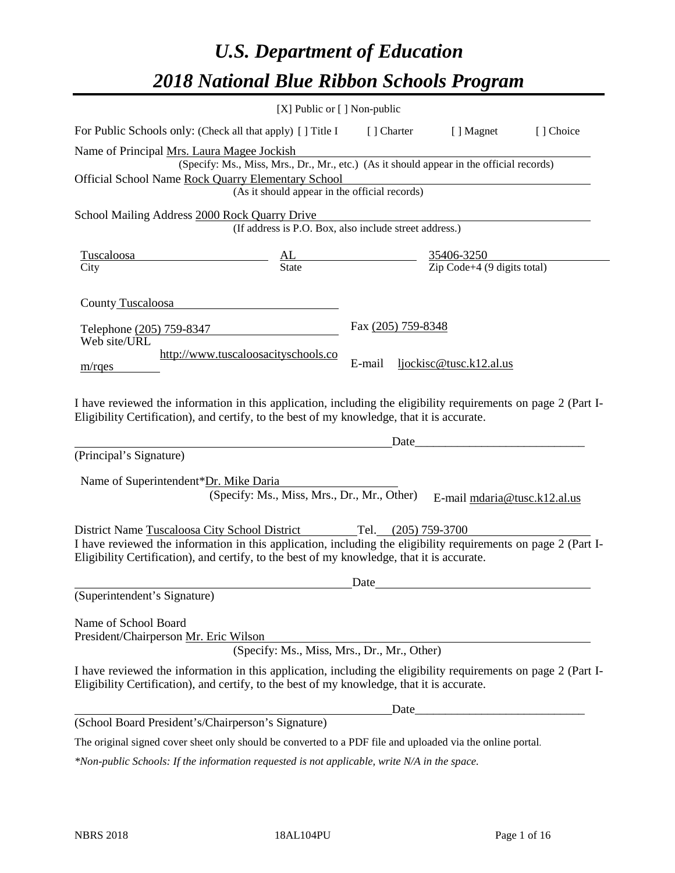# *U.S. Department of Education 2018 National Blue Ribbon Schools Program*

|                                                                                                                                                                                                                                                                                   | [X] Public or [] Non-public                                                                                                               |                    |                                                                                                                       |           |
|-----------------------------------------------------------------------------------------------------------------------------------------------------------------------------------------------------------------------------------------------------------------------------------|-------------------------------------------------------------------------------------------------------------------------------------------|--------------------|-----------------------------------------------------------------------------------------------------------------------|-----------|
| For Public Schools only: (Check all that apply) [] Title I                                                                                                                                                                                                                        |                                                                                                                                           |                    | [] Charter [] Magnet                                                                                                  | [] Choice |
| Name of Principal Mrs. Laura Magee Jockish<br>Official School Name Rock Quarry Elementary School                                                                                                                                                                                  | (Specify: Ms., Miss, Mrs., Dr., Mr., etc.) (As it should appear in the official records)<br>(As it should appear in the official records) |                    |                                                                                                                       |           |
| School Mailing Address 2000 Rock Quarry Drive                                                                                                                                                                                                                                     | (If address is P.O. Box, also include street address.)                                                                                    |                    |                                                                                                                       |           |
| <u>Tuscaloosa</u><br>City                                                                                                                                                                                                                                                         | $\underline{\begin{array}{ccc}\nAL & \underline{35406-3250} \\ State & \underline{7ip \text{ Code}+4 (9 digits total)}\n\end{array}}$     |                    |                                                                                                                       |           |
| County Tuscaloosa                                                                                                                                                                                                                                                                 |                                                                                                                                           |                    |                                                                                                                       |           |
| Telephone (205) 759-8347<br>Web site/URL                                                                                                                                                                                                                                          | http://www.tuscaloosacityschools.co                                                                                                       | Fax (205) 759-8348 |                                                                                                                       |           |
| $m$ /rges                                                                                                                                                                                                                                                                         |                                                                                                                                           | E-mail             | ljockisc@tusc.k12.al.us                                                                                               |           |
| I have reviewed the information in this application, including the eligibility requirements on page 2 (Part I-<br>Eligibility Certification), and certify, to the best of my knowledge, that it is accurate.                                                                      |                                                                                                                                           |                    |                                                                                                                       |           |
|                                                                                                                                                                                                                                                                                   |                                                                                                                                           | Date               | <u> 1980 - Johann Barn, mars eta bainar eta baina eta baina eta baina eta baina eta baina eta baina eta baina eta</u> |           |
| (Principal's Signature)                                                                                                                                                                                                                                                           |                                                                                                                                           |                    |                                                                                                                       |           |
| Name of Superintendent*Dr. Mike Daria                                                                                                                                                                                                                                             | (Specify: Ms., Miss, Mrs., Dr., Mr., Other)                                                                                               |                    | E-mail mdaria@tusc.k12.al.us                                                                                          |           |
| District Name Tuscaloosa City School District Tel. (205) 759-3700<br>I have reviewed the information in this application, including the eligibility requirements on page 2 (Part I-<br>Eligibility Certification), and certify, to the best of my knowledge, that it is accurate. |                                                                                                                                           |                    |                                                                                                                       |           |
|                                                                                                                                                                                                                                                                                   |                                                                                                                                           | Date               |                                                                                                                       |           |
| (Superintendent's Signature)                                                                                                                                                                                                                                                      |                                                                                                                                           |                    |                                                                                                                       |           |
| Name of School Board<br>President/Chairperson Mr. Eric Wilson                                                                                                                                                                                                                     | (Specify: Ms., Miss, Mrs., Dr., Mr., Other)                                                                                               |                    |                                                                                                                       |           |
| I have reviewed the information in this application, including the eligibility requirements on page 2 (Part I-<br>Eligibility Certification), and certify, to the best of my knowledge, that it is accurate.                                                                      |                                                                                                                                           |                    |                                                                                                                       |           |
|                                                                                                                                                                                                                                                                                   |                                                                                                                                           | Date               |                                                                                                                       |           |
| (School Board President's/Chairperson's Signature)                                                                                                                                                                                                                                |                                                                                                                                           |                    |                                                                                                                       |           |
| The original signed cover sheet only should be converted to a PDF file and uploaded via the online portal.                                                                                                                                                                        |                                                                                                                                           |                    |                                                                                                                       |           |

*\*Non-public Schools: If the information requested is not applicable, write N/A in the space.*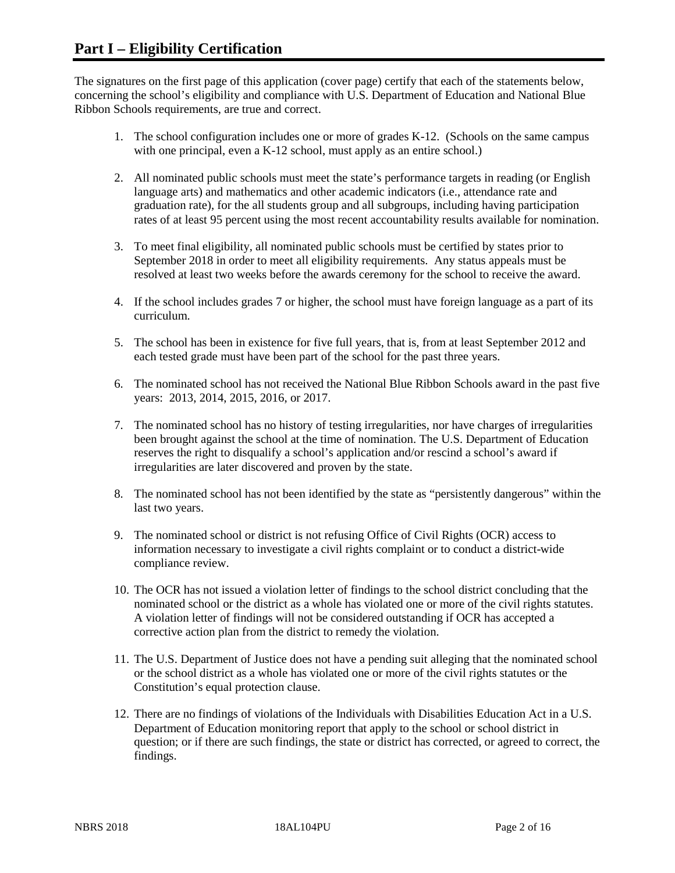The signatures on the first page of this application (cover page) certify that each of the statements below, concerning the school's eligibility and compliance with U.S. Department of Education and National Blue Ribbon Schools requirements, are true and correct.

- 1. The school configuration includes one or more of grades K-12. (Schools on the same campus with one principal, even a K-12 school, must apply as an entire school.)
- 2. All nominated public schools must meet the state's performance targets in reading (or English language arts) and mathematics and other academic indicators (i.e., attendance rate and graduation rate), for the all students group and all subgroups, including having participation rates of at least 95 percent using the most recent accountability results available for nomination.
- 3. To meet final eligibility, all nominated public schools must be certified by states prior to September 2018 in order to meet all eligibility requirements. Any status appeals must be resolved at least two weeks before the awards ceremony for the school to receive the award.
- 4. If the school includes grades 7 or higher, the school must have foreign language as a part of its curriculum.
- 5. The school has been in existence for five full years, that is, from at least September 2012 and each tested grade must have been part of the school for the past three years.
- 6. The nominated school has not received the National Blue Ribbon Schools award in the past five years: 2013, 2014, 2015, 2016, or 2017.
- 7. The nominated school has no history of testing irregularities, nor have charges of irregularities been brought against the school at the time of nomination. The U.S. Department of Education reserves the right to disqualify a school's application and/or rescind a school's award if irregularities are later discovered and proven by the state.
- 8. The nominated school has not been identified by the state as "persistently dangerous" within the last two years.
- 9. The nominated school or district is not refusing Office of Civil Rights (OCR) access to information necessary to investigate a civil rights complaint or to conduct a district-wide compliance review.
- 10. The OCR has not issued a violation letter of findings to the school district concluding that the nominated school or the district as a whole has violated one or more of the civil rights statutes. A violation letter of findings will not be considered outstanding if OCR has accepted a corrective action plan from the district to remedy the violation.
- 11. The U.S. Department of Justice does not have a pending suit alleging that the nominated school or the school district as a whole has violated one or more of the civil rights statutes or the Constitution's equal protection clause.
- 12. There are no findings of violations of the Individuals with Disabilities Education Act in a U.S. Department of Education monitoring report that apply to the school or school district in question; or if there are such findings, the state or district has corrected, or agreed to correct, the findings.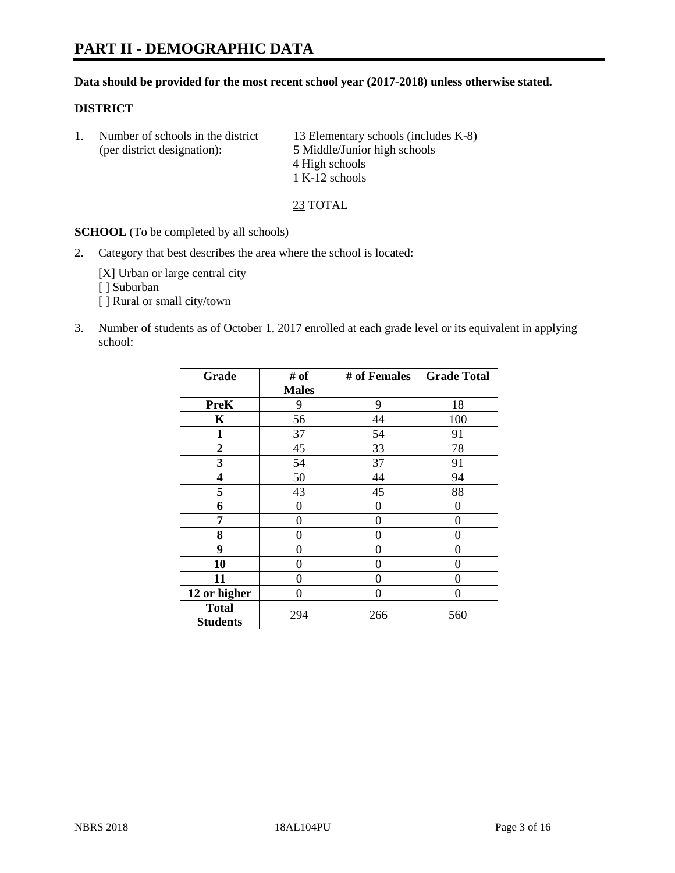#### **Data should be provided for the most recent school year (2017-2018) unless otherwise stated.**

## **DISTRICT**

| Number of schools in the district<br>(per district designation): | 13 Elementary schools (includes K-8)<br>5 Middle/Junior high schools |  |
|------------------------------------------------------------------|----------------------------------------------------------------------|--|
|                                                                  | $\frac{4}{5}$ High schools<br>1 K-12 schools                         |  |

23 TOTAL

**SCHOOL** (To be completed by all schools)

2. Category that best describes the area where the school is located:

[X] Urban or large central city [ ] Suburban [ ] Rural or small city/town

3. Number of students as of October 1, 2017 enrolled at each grade level or its equivalent in applying school:

| Grade                           | # of         | # of Females | <b>Grade Total</b> |
|---------------------------------|--------------|--------------|--------------------|
|                                 | <b>Males</b> |              |                    |
| <b>PreK</b>                     | 9            | 9            | 18                 |
| K                               | 56           | 44           | 100                |
| $\mathbf{1}$                    | 37           | 54           | 91                 |
| 2                               | 45           | 33           | 78                 |
| 3                               | 54           | 37           | 91                 |
| 4                               | 50           | 44           | 94                 |
| 5                               | 43           | 45           | 88                 |
| 6                               | 0            | 0            | 0                  |
| 7                               | 0            | 0            | 0                  |
| 8                               | 0            | 0            | 0                  |
| 9                               | 0            | 0            | 0                  |
| 10                              | 0            | 0            | 0                  |
| 11                              | 0            | 0            | 0                  |
| 12 or higher                    | 0            | 0            | 0                  |
| <b>Total</b><br><b>Students</b> | 294          | 266          | 560                |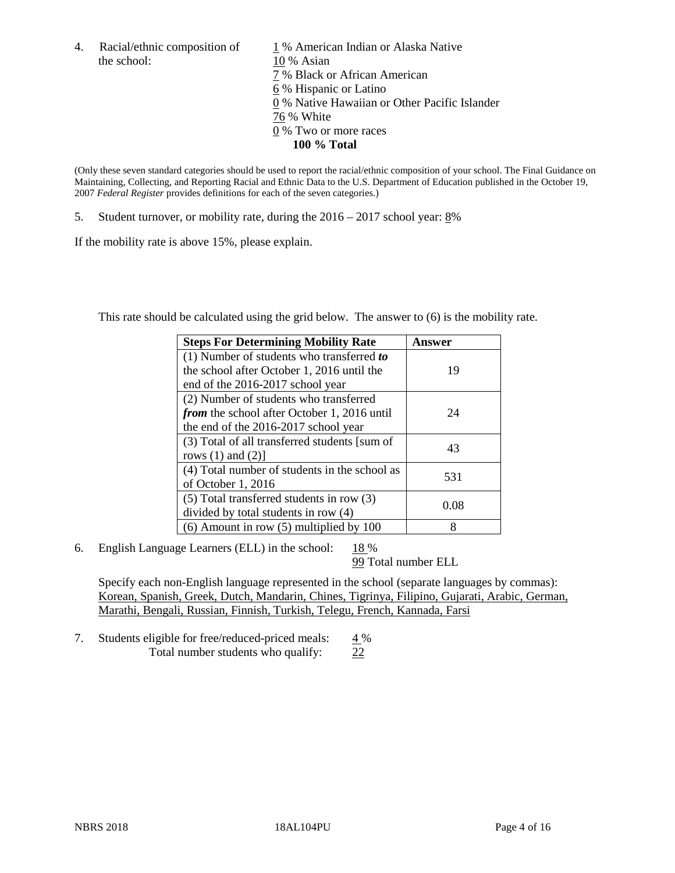the school: 10 % Asian

4. Racial/ethnic composition of  $1\%$  American Indian or Alaska Native 7 % Black or African American 6 % Hispanic or Latino 0 % Native Hawaiian or Other Pacific Islander 76 % White 0 % Two or more races **100 % Total**

(Only these seven standard categories should be used to report the racial/ethnic composition of your school. The Final Guidance on Maintaining, Collecting, and Reporting Racial and Ethnic Data to the U.S. Department of Education published in the October 19, 2007 *Federal Register* provides definitions for each of the seven categories.)

5. Student turnover, or mobility rate, during the 2016 – 2017 school year: 8%

If the mobility rate is above 15%, please explain.

This rate should be calculated using the grid below. The answer to (6) is the mobility rate.

| <b>Steps For Determining Mobility Rate</b>         | Answer |
|----------------------------------------------------|--------|
| (1) Number of students who transferred to          |        |
| the school after October 1, 2016 until the         | 19     |
| end of the 2016-2017 school year                   |        |
| (2) Number of students who transferred             |        |
| <i>from</i> the school after October 1, 2016 until | 24     |
| the end of the 2016-2017 school year               |        |
| (3) Total of all transferred students [sum of      | 43     |
| rows $(1)$ and $(2)$ ]                             |        |
| (4) Total number of students in the school as      |        |
| of October 1, 2016                                 | 531    |
| $(5)$ Total transferred students in row $(3)$      |        |
| divided by total students in row (4)               | 0.08   |
| $(6)$ Amount in row $(5)$ multiplied by 100        | 8      |

6. English Language Learners (ELL) in the school:  $18\%$ 

99 Total number ELL

Specify each non-English language represented in the school (separate languages by commas): Korean, Spanish, Greek, Dutch, Mandarin, Chines, Tigrinya, Filipino, Gujarati, Arabic, German, Marathi, Bengali, Russian, Finnish, Turkish, Telegu, French, Kannada, Farsi

7. Students eligible for free/reduced-priced meals:  $4\%$ Total number students who qualify: 22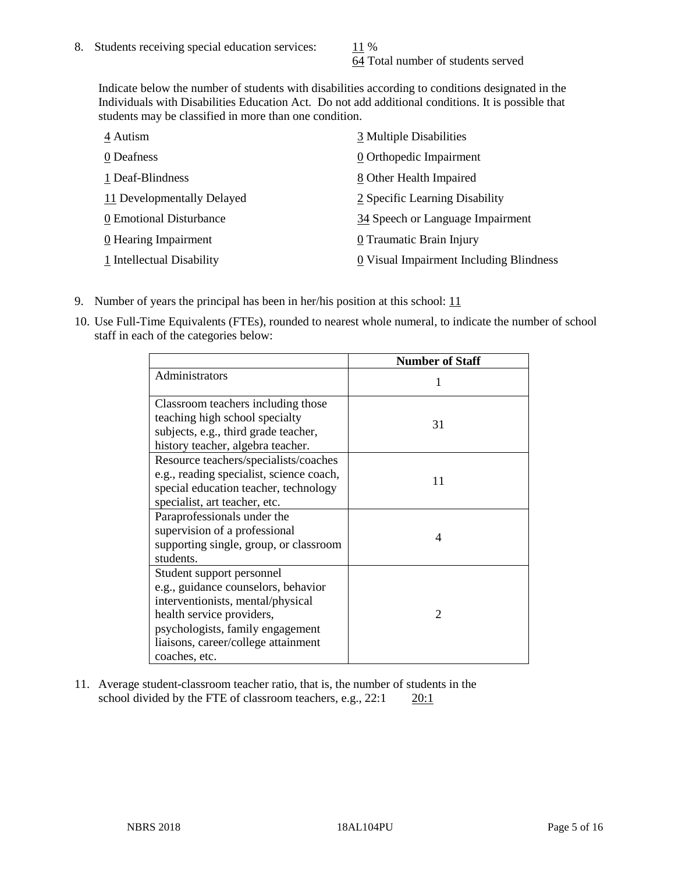64 Total number of students served

Indicate below the number of students with disabilities according to conditions designated in the Individuals with Disabilities Education Act. Do not add additional conditions. It is possible that students may be classified in more than one condition.

| 4 Autism                   | 3 Multiple Disabilities                 |
|----------------------------|-----------------------------------------|
| 0 Deafness                 | 0 Orthopedic Impairment                 |
| 1 Deaf-Blindness           | 8 Other Health Impaired                 |
| 11 Developmentally Delayed | 2 Specific Learning Disability          |
| 0 Emotional Disturbance    | 34 Speech or Language Impairment        |
| 0 Hearing Impairment       | 0 Traumatic Brain Injury                |
| 1 Intellectual Disability  | 0 Visual Impairment Including Blindness |

- 9. Number of years the principal has been in her/his position at this school:  $11$
- 10. Use Full-Time Equivalents (FTEs), rounded to nearest whole numeral, to indicate the number of school staff in each of the categories below:

|                                                                                                                                                                                                                                | <b>Number of Staff</b>      |
|--------------------------------------------------------------------------------------------------------------------------------------------------------------------------------------------------------------------------------|-----------------------------|
| Administrators                                                                                                                                                                                                                 |                             |
| Classroom teachers including those<br>teaching high school specialty<br>subjects, e.g., third grade teacher,<br>history teacher, algebra teacher.                                                                              | 31                          |
| Resource teachers/specialists/coaches<br>e.g., reading specialist, science coach,<br>special education teacher, technology<br>specialist, art teacher, etc.                                                                    | 11                          |
| Paraprofessionals under the<br>supervision of a professional<br>supporting single, group, or classroom<br>students.                                                                                                            | 4                           |
| Student support personnel<br>e.g., guidance counselors, behavior<br>interventionists, mental/physical<br>health service providers,<br>psychologists, family engagement<br>liaisons, career/college attainment<br>coaches, etc. | $\mathcal{D}_{\mathcal{A}}$ |

11. Average student-classroom teacher ratio, that is, the number of students in the school divided by the FTE of classroom teachers, e.g.,  $22:1$  20:1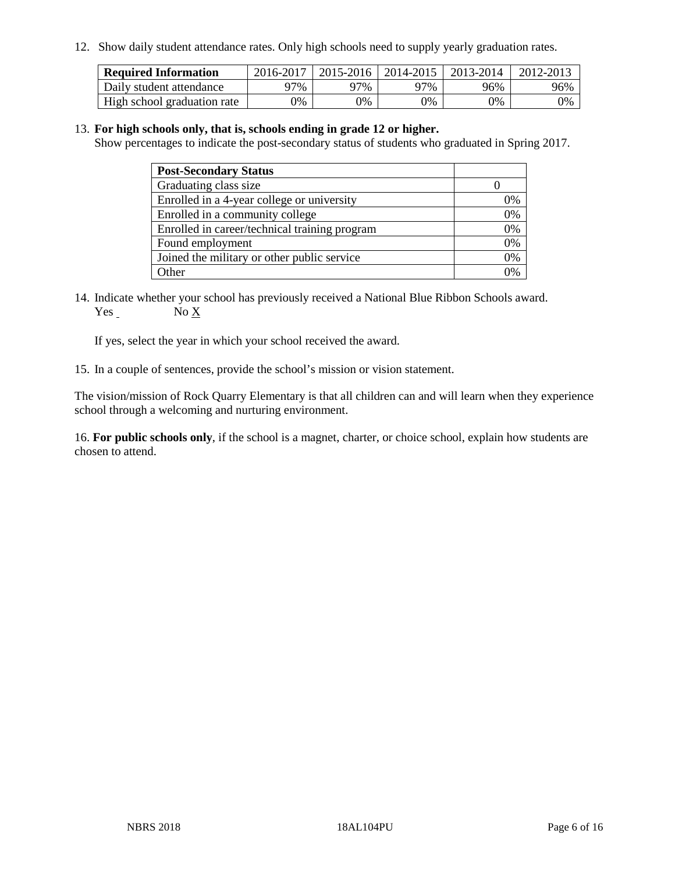12. Show daily student attendance rates. Only high schools need to supply yearly graduation rates.

| <b>Required Information</b> | 2016-2017 | 2015-2016 1 | $12014 - 2015$ | 2013-2014 | 2012-2013 |
|-----------------------------|-----------|-------------|----------------|-----------|-----------|
| Daily student attendance    | 97%       | 97%         | 97%            | 96%       | 96%       |
| High school graduation rate | 0%        | 0%          | 0%             | 9%        | 0%        |

#### 13. **For high schools only, that is, schools ending in grade 12 or higher.**

Show percentages to indicate the post-secondary status of students who graduated in Spring 2017.

| <b>Post-Secondary Status</b>                  |    |
|-----------------------------------------------|----|
| Graduating class size                         |    |
| Enrolled in a 4-year college or university    | 0% |
| Enrolled in a community college               | 0% |
| Enrolled in career/technical training program | 0% |
| Found employment                              | 0% |
| Joined the military or other public service   | 0% |
| Other                                         | ገ% |

14. Indicate whether your school has previously received a National Blue Ribbon Schools award. Yes No X

If yes, select the year in which your school received the award.

15. In a couple of sentences, provide the school's mission or vision statement.

The vision/mission of Rock Quarry Elementary is that all children can and will learn when they experience school through a welcoming and nurturing environment.

16. **For public schools only**, if the school is a magnet, charter, or choice school, explain how students are chosen to attend.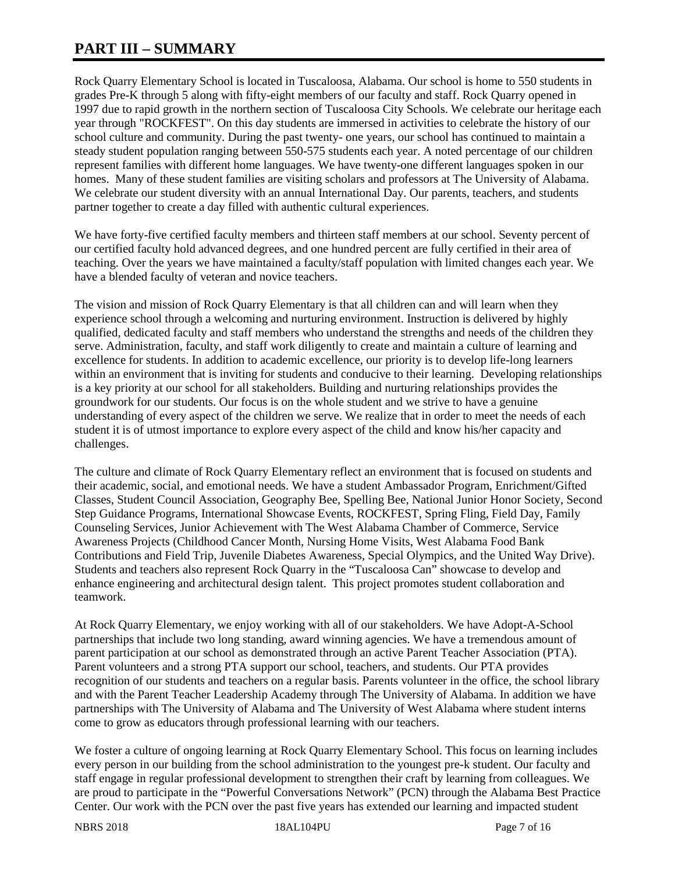# **PART III – SUMMARY**

Rock Quarry Elementary School is located in Tuscaloosa, Alabama. Our school is home to 550 students in grades Pre-K through 5 along with fifty-eight members of our faculty and staff. Rock Quarry opened in 1997 due to rapid growth in the northern section of Tuscaloosa City Schools. We celebrate our heritage each year through "ROCKFEST". On this day students are immersed in activities to celebrate the history of our school culture and community. During the past twenty- one years, our school has continued to maintain a steady student population ranging between 550-575 students each year. A noted percentage of our children represent families with different home languages. We have twenty-one different languages spoken in our homes. Many of these student families are visiting scholars and professors at The University of Alabama. We celebrate our student diversity with an annual International Day. Our parents, teachers, and students partner together to create a day filled with authentic cultural experiences.

We have forty-five certified faculty members and thirteen staff members at our school. Seventy percent of our certified faculty hold advanced degrees, and one hundred percent are fully certified in their area of teaching. Over the years we have maintained a faculty/staff population with limited changes each year. We have a blended faculty of veteran and novice teachers.

The vision and mission of Rock Quarry Elementary is that all children can and will learn when they experience school through a welcoming and nurturing environment. Instruction is delivered by highly qualified, dedicated faculty and staff members who understand the strengths and needs of the children they serve. Administration, faculty, and staff work diligently to create and maintain a culture of learning and excellence for students. In addition to academic excellence, our priority is to develop life-long learners within an environment that is inviting for students and conducive to their learning. Developing relationships is a key priority at our school for all stakeholders. Building and nurturing relationships provides the groundwork for our students. Our focus is on the whole student and we strive to have a genuine understanding of every aspect of the children we serve. We realize that in order to meet the needs of each student it is of utmost importance to explore every aspect of the child and know his/her capacity and challenges.

The culture and climate of Rock Quarry Elementary reflect an environment that is focused on students and their academic, social, and emotional needs. We have a student Ambassador Program, Enrichment/Gifted Classes, Student Council Association, Geography Bee, Spelling Bee, National Junior Honor Society, Second Step Guidance Programs, International Showcase Events, ROCKFEST, Spring Fling, Field Day, Family Counseling Services, Junior Achievement with The West Alabama Chamber of Commerce, Service Awareness Projects (Childhood Cancer Month, Nursing Home Visits, West Alabama Food Bank Contributions and Field Trip, Juvenile Diabetes Awareness, Special Olympics, and the United Way Drive). Students and teachers also represent Rock Quarry in the "Tuscaloosa Can" showcase to develop and enhance engineering and architectural design talent. This project promotes student collaboration and teamwork.

At Rock Quarry Elementary, we enjoy working with all of our stakeholders. We have Adopt-A-School partnerships that include two long standing, award winning agencies. We have a tremendous amount of parent participation at our school as demonstrated through an active Parent Teacher Association (PTA). Parent volunteers and a strong PTA support our school, teachers, and students. Our PTA provides recognition of our students and teachers on a regular basis. Parents volunteer in the office, the school library and with the Parent Teacher Leadership Academy through The University of Alabama. In addition we have partnerships with The University of Alabama and The University of West Alabama where student interns come to grow as educators through professional learning with our teachers.

We foster a culture of ongoing learning at Rock Quarry Elementary School. This focus on learning includes every person in our building from the school administration to the youngest pre-k student. Our faculty and staff engage in regular professional development to strengthen their craft by learning from colleagues. We are proud to participate in the "Powerful Conversations Network" (PCN) through the Alabama Best Practice Center. Our work with the PCN over the past five years has extended our learning and impacted student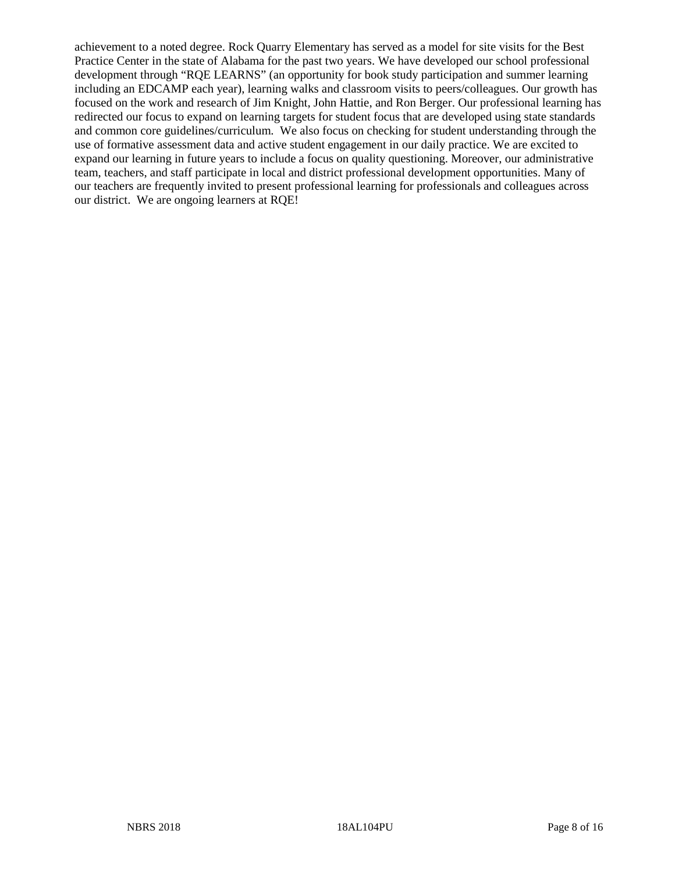achievement to a noted degree. Rock Quarry Elementary has served as a model for site visits for the Best Practice Center in the state of Alabama for the past two years. We have developed our school professional development through "RQE LEARNS" (an opportunity for book study participation and summer learning including an EDCAMP each year), learning walks and classroom visits to peers/colleagues. Our growth has focused on the work and research of Jim Knight, John Hattie, and Ron Berger. Our professional learning has redirected our focus to expand on learning targets for student focus that are developed using state standards and common core guidelines/curriculum. We also focus on checking for student understanding through the use of formative assessment data and active student engagement in our daily practice. We are excited to expand our learning in future years to include a focus on quality questioning. Moreover, our administrative team, teachers, and staff participate in local and district professional development opportunities. Many of our teachers are frequently invited to present professional learning for professionals and colleagues across our district. We are ongoing learners at RQE!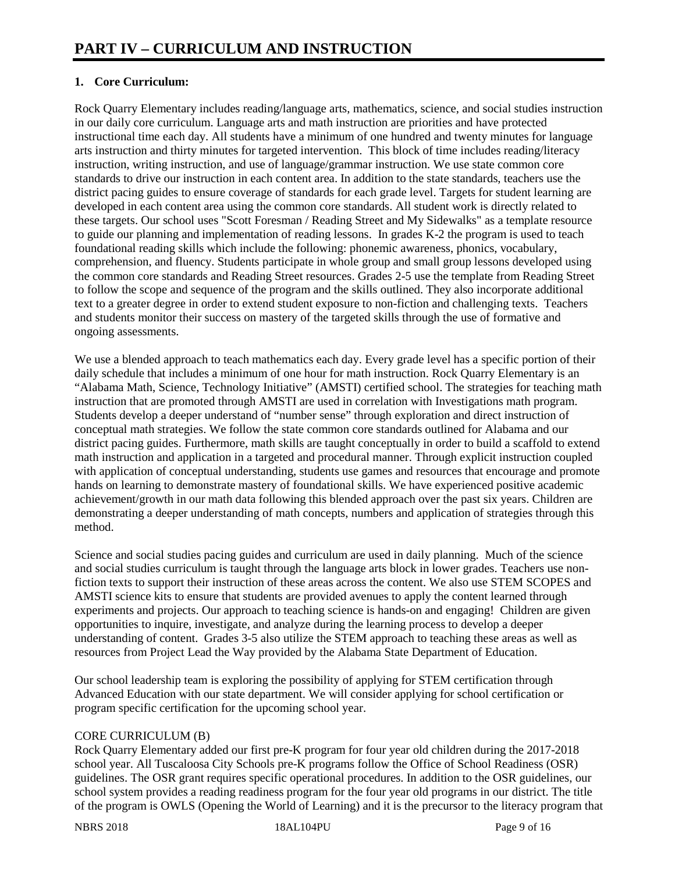# **1. Core Curriculum:**

Rock Quarry Elementary includes reading/language arts, mathematics, science, and social studies instruction in our daily core curriculum. Language arts and math instruction are priorities and have protected instructional time each day. All students have a minimum of one hundred and twenty minutes for language arts instruction and thirty minutes for targeted intervention. This block of time includes reading/literacy instruction, writing instruction, and use of language/grammar instruction. We use state common core standards to drive our instruction in each content area. In addition to the state standards, teachers use the district pacing guides to ensure coverage of standards for each grade level. Targets for student learning are developed in each content area using the common core standards. All student work is directly related to these targets. Our school uses "Scott Foresman / Reading Street and My Sidewalks" as a template resource to guide our planning and implementation of reading lessons. In grades K-2 the program is used to teach foundational reading skills which include the following: phonemic awareness, phonics, vocabulary, comprehension, and fluency. Students participate in whole group and small group lessons developed using the common core standards and Reading Street resources. Grades 2-5 use the template from Reading Street to follow the scope and sequence of the program and the skills outlined. They also incorporate additional text to a greater degree in order to extend student exposure to non-fiction and challenging texts. Teachers and students monitor their success on mastery of the targeted skills through the use of formative and ongoing assessments.

We use a blended approach to teach mathematics each day. Every grade level has a specific portion of their daily schedule that includes a minimum of one hour for math instruction. Rock Quarry Elementary is an "Alabama Math, Science, Technology Initiative" (AMSTI) certified school. The strategies for teaching math instruction that are promoted through AMSTI are used in correlation with Investigations math program. Students develop a deeper understand of "number sense" through exploration and direct instruction of conceptual math strategies. We follow the state common core standards outlined for Alabama and our district pacing guides. Furthermore, math skills are taught conceptually in order to build a scaffold to extend math instruction and application in a targeted and procedural manner. Through explicit instruction coupled with application of conceptual understanding, students use games and resources that encourage and promote hands on learning to demonstrate mastery of foundational skills. We have experienced positive academic achievement/growth in our math data following this blended approach over the past six years. Children are demonstrating a deeper understanding of math concepts, numbers and application of strategies through this method.

Science and social studies pacing guides and curriculum are used in daily planning. Much of the science and social studies curriculum is taught through the language arts block in lower grades. Teachers use nonfiction texts to support their instruction of these areas across the content. We also use STEM SCOPES and AMSTI science kits to ensure that students are provided avenues to apply the content learned through experiments and projects. Our approach to teaching science is hands-on and engaging! Children are given opportunities to inquire, investigate, and analyze during the learning process to develop a deeper understanding of content. Grades 3-5 also utilize the STEM approach to teaching these areas as well as resources from Project Lead the Way provided by the Alabama State Department of Education.

Our school leadership team is exploring the possibility of applying for STEM certification through Advanced Education with our state department. We will consider applying for school certification or program specific certification for the upcoming school year.

## CORE CURRICULUM (B)

Rock Quarry Elementary added our first pre-K program for four year old children during the 2017-2018 school year. All Tuscaloosa City Schools pre-K programs follow the Office of School Readiness (OSR) guidelines. The OSR grant requires specific operational procedures. In addition to the OSR guidelines, our school system provides a reading readiness program for the four year old programs in our district. The title of the program is OWLS (Opening the World of Learning) and it is the precursor to the literacy program that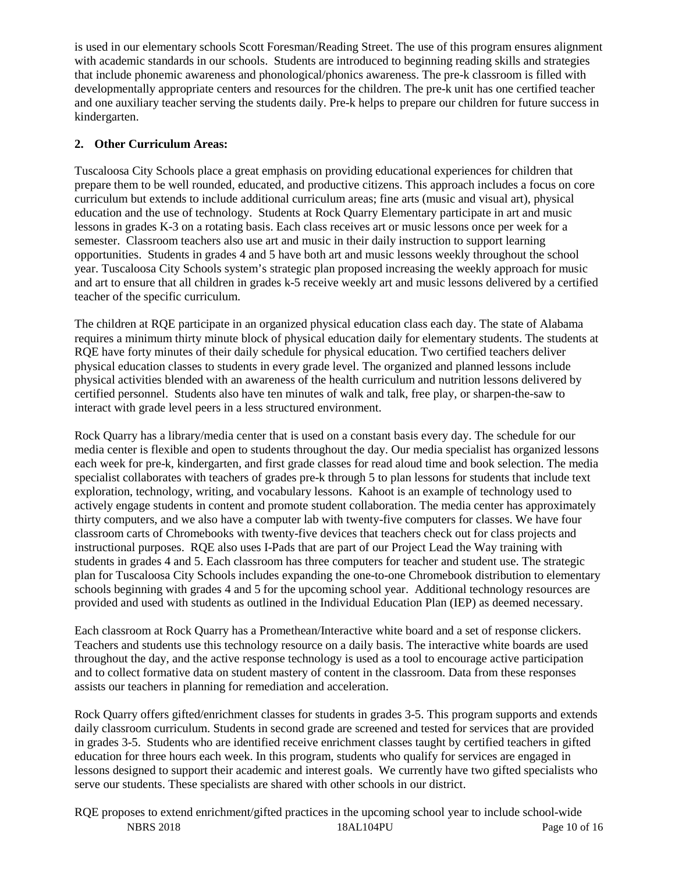is used in our elementary schools Scott Foresman/Reading Street. The use of this program ensures alignment with academic standards in our schools. Students are introduced to beginning reading skills and strategies that include phonemic awareness and phonological/phonics awareness. The pre-k classroom is filled with developmentally appropriate centers and resources for the children. The pre-k unit has one certified teacher and one auxiliary teacher serving the students daily. Pre-k helps to prepare our children for future success in kindergarten.

# **2. Other Curriculum Areas:**

Tuscaloosa City Schools place a great emphasis on providing educational experiences for children that prepare them to be well rounded, educated, and productive citizens. This approach includes a focus on core curriculum but extends to include additional curriculum areas; fine arts (music and visual art), physical education and the use of technology. Students at Rock Quarry Elementary participate in art and music lessons in grades K-3 on a rotating basis. Each class receives art or music lessons once per week for a semester. Classroom teachers also use art and music in their daily instruction to support learning opportunities. Students in grades 4 and 5 have both art and music lessons weekly throughout the school year. Tuscaloosa City Schools system's strategic plan proposed increasing the weekly approach for music and art to ensure that all children in grades k-5 receive weekly art and music lessons delivered by a certified teacher of the specific curriculum.

The children at RQE participate in an organized physical education class each day. The state of Alabama requires a minimum thirty minute block of physical education daily for elementary students. The students at RQE have forty minutes of their daily schedule for physical education. Two certified teachers deliver physical education classes to students in every grade level. The organized and planned lessons include physical activities blended with an awareness of the health curriculum and nutrition lessons delivered by certified personnel. Students also have ten minutes of walk and talk, free play, or sharpen-the-saw to interact with grade level peers in a less structured environment.

Rock Quarry has a library/media center that is used on a constant basis every day. The schedule for our media center is flexible and open to students throughout the day. Our media specialist has organized lessons each week for pre-k, kindergarten, and first grade classes for read aloud time and book selection. The media specialist collaborates with teachers of grades pre-k through 5 to plan lessons for students that include text exploration, technology, writing, and vocabulary lessons. Kahoot is an example of technology used to actively engage students in content and promote student collaboration. The media center has approximately thirty computers, and we also have a computer lab with twenty-five computers for classes. We have four classroom carts of Chromebooks with twenty-five devices that teachers check out for class projects and instructional purposes. RQE also uses I-Pads that are part of our Project Lead the Way training with students in grades 4 and 5. Each classroom has three computers for teacher and student use. The strategic plan for Tuscaloosa City Schools includes expanding the one-to-one Chromebook distribution to elementary schools beginning with grades 4 and 5 for the upcoming school year. Additional technology resources are provided and used with students as outlined in the Individual Education Plan (IEP) as deemed necessary.

Each classroom at Rock Quarry has a Promethean/Interactive white board and a set of response clickers. Teachers and students use this technology resource on a daily basis. The interactive white boards are used throughout the day, and the active response technology is used as a tool to encourage active participation and to collect formative data on student mastery of content in the classroom. Data from these responses assists our teachers in planning for remediation and acceleration.

Rock Quarry offers gifted/enrichment classes for students in grades 3-5. This program supports and extends daily classroom curriculum. Students in second grade are screened and tested for services that are provided in grades 3-5. Students who are identified receive enrichment classes taught by certified teachers in gifted education for three hours each week. In this program, students who qualify for services are engaged in lessons designed to support their academic and interest goals. We currently have two gifted specialists who serve our students. These specialists are shared with other schools in our district.

NBRS 2018 18AL104PU Page 10 of 16 RQE proposes to extend enrichment/gifted practices in the upcoming school year to include school-wide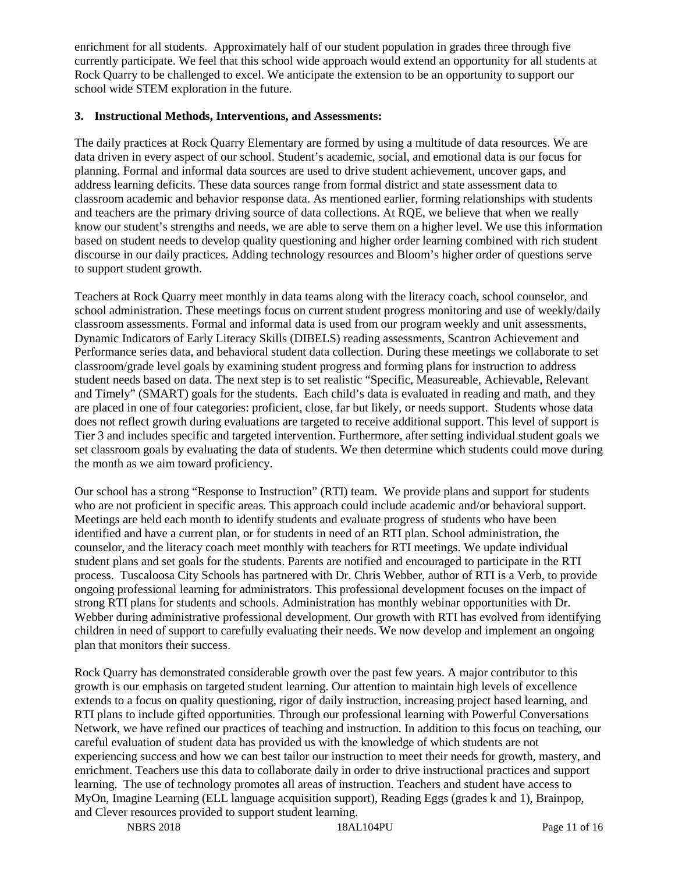enrichment for all students. Approximately half of our student population in grades three through five currently participate. We feel that this school wide approach would extend an opportunity for all students at Rock Quarry to be challenged to excel. We anticipate the extension to be an opportunity to support our school wide STEM exploration in the future.

#### **3. Instructional Methods, Interventions, and Assessments:**

The daily practices at Rock Quarry Elementary are formed by using a multitude of data resources. We are data driven in every aspect of our school. Student's academic, social, and emotional data is our focus for planning. Formal and informal data sources are used to drive student achievement, uncover gaps, and address learning deficits. These data sources range from formal district and state assessment data to classroom academic and behavior response data. As mentioned earlier, forming relationships with students and teachers are the primary driving source of data collections. At RQE, we believe that when we really know our student's strengths and needs, we are able to serve them on a higher level. We use this information based on student needs to develop quality questioning and higher order learning combined with rich student discourse in our daily practices. Adding technology resources and Bloom's higher order of questions serve to support student growth.

Teachers at Rock Quarry meet monthly in data teams along with the literacy coach, school counselor, and school administration. These meetings focus on current student progress monitoring and use of weekly/daily classroom assessments. Formal and informal data is used from our program weekly and unit assessments, Dynamic Indicators of Early Literacy Skills (DIBELS) reading assessments, Scantron Achievement and Performance series data, and behavioral student data collection. During these meetings we collaborate to set classroom/grade level goals by examining student progress and forming plans for instruction to address student needs based on data. The next step is to set realistic "Specific, Measureable, Achievable, Relevant and Timely" (SMART) goals for the students. Each child's data is evaluated in reading and math, and they are placed in one of four categories: proficient, close, far but likely, or needs support. Students whose data does not reflect growth during evaluations are targeted to receive additional support. This level of support is Tier 3 and includes specific and targeted intervention. Furthermore, after setting individual student goals we set classroom goals by evaluating the data of students. We then determine which students could move during the month as we aim toward proficiency.

Our school has a strong "Response to Instruction" (RTI) team. We provide plans and support for students who are not proficient in specific areas. This approach could include academic and/or behavioral support. Meetings are held each month to identify students and evaluate progress of students who have been identified and have a current plan, or for students in need of an RTI plan. School administration, the counselor, and the literacy coach meet monthly with teachers for RTI meetings. We update individual student plans and set goals for the students. Parents are notified and encouraged to participate in the RTI process. Tuscaloosa City Schools has partnered with Dr. Chris Webber, author of RTI is a Verb, to provide ongoing professional learning for administrators. This professional development focuses on the impact of strong RTI plans for students and schools. Administration has monthly webinar opportunities with Dr. Webber during administrative professional development. Our growth with RTI has evolved from identifying children in need of support to carefully evaluating their needs. We now develop and implement an ongoing plan that monitors their success.

Rock Quarry has demonstrated considerable growth over the past few years. A major contributor to this growth is our emphasis on targeted student learning. Our attention to maintain high levels of excellence extends to a focus on quality questioning, rigor of daily instruction, increasing project based learning, and RTI plans to include gifted opportunities. Through our professional learning with Powerful Conversations Network, we have refined our practices of teaching and instruction. In addition to this focus on teaching, our careful evaluation of student data has provided us with the knowledge of which students are not experiencing success and how we can best tailor our instruction to meet their needs for growth, mastery, and enrichment. Teachers use this data to collaborate daily in order to drive instructional practices and support learning. The use of technology promotes all areas of instruction. Teachers and student have access to MyOn, Imagine Learning (ELL language acquisition support), Reading Eggs (grades k and 1), Brainpop, and Clever resources provided to support student learning.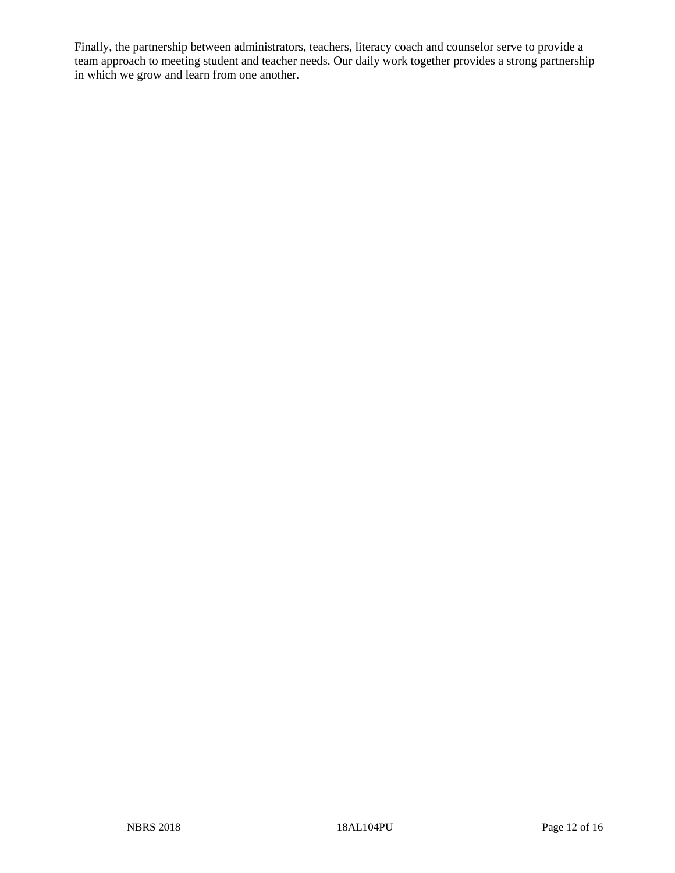Finally, the partnership between administrators, teachers, literacy coach and counselor serve to provide a team approach to meeting student and teacher needs. Our daily work together provides a strong partnership in which we grow and learn from one another.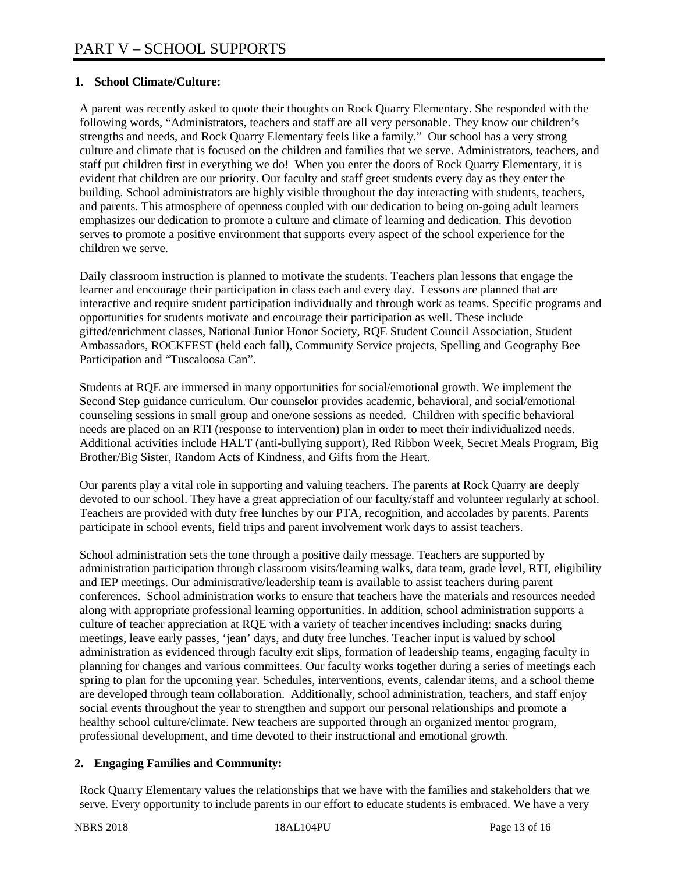#### **1. School Climate/Culture:**

A parent was recently asked to quote their thoughts on Rock Quarry Elementary. She responded with the following words, "Administrators, teachers and staff are all very personable. They know our children's strengths and needs, and Rock Quarry Elementary feels like a family." Our school has a very strong culture and climate that is focused on the children and families that we serve. Administrators, teachers, and staff put children first in everything we do! When you enter the doors of Rock Quarry Elementary, it is evident that children are our priority. Our faculty and staff greet students every day as they enter the building. School administrators are highly visible throughout the day interacting with students, teachers, and parents. This atmosphere of openness coupled with our dedication to being on-going adult learners emphasizes our dedication to promote a culture and climate of learning and dedication. This devotion serves to promote a positive environment that supports every aspect of the school experience for the children we serve.

Daily classroom instruction is planned to motivate the students. Teachers plan lessons that engage the learner and encourage their participation in class each and every day. Lessons are planned that are interactive and require student participation individually and through work as teams. Specific programs and opportunities for students motivate and encourage their participation as well. These include gifted/enrichment classes, National Junior Honor Society, RQE Student Council Association, Student Ambassadors, ROCKFEST (held each fall), Community Service projects, Spelling and Geography Bee Participation and "Tuscaloosa Can".

Students at RQE are immersed in many opportunities for social/emotional growth. We implement the Second Step guidance curriculum. Our counselor provides academic, behavioral, and social/emotional counseling sessions in small group and one/one sessions as needed. Children with specific behavioral needs are placed on an RTI (response to intervention) plan in order to meet their individualized needs. Additional activities include HALT (anti-bullying support), Red Ribbon Week, Secret Meals Program, Big Brother/Big Sister, Random Acts of Kindness, and Gifts from the Heart.

Our parents play a vital role in supporting and valuing teachers. The parents at Rock Quarry are deeply devoted to our school. They have a great appreciation of our faculty/staff and volunteer regularly at school. Teachers are provided with duty free lunches by our PTA, recognition, and accolades by parents. Parents participate in school events, field trips and parent involvement work days to assist teachers.

School administration sets the tone through a positive daily message. Teachers are supported by administration participation through classroom visits/learning walks, data team, grade level, RTI, eligibility and IEP meetings. Our administrative/leadership team is available to assist teachers during parent conferences. School administration works to ensure that teachers have the materials and resources needed along with appropriate professional learning opportunities. In addition, school administration supports a culture of teacher appreciation at RQE with a variety of teacher incentives including: snacks during meetings, leave early passes, 'jean' days, and duty free lunches. Teacher input is valued by school administration as evidenced through faculty exit slips, formation of leadership teams, engaging faculty in planning for changes and various committees. Our faculty works together during a series of meetings each spring to plan for the upcoming year. Schedules, interventions, events, calendar items, and a school theme are developed through team collaboration. Additionally, school administration, teachers, and staff enjoy social events throughout the year to strengthen and support our personal relationships and promote a healthy school culture/climate. New teachers are supported through an organized mentor program, professional development, and time devoted to their instructional and emotional growth.

## **2. Engaging Families and Community:**

Rock Quarry Elementary values the relationships that we have with the families and stakeholders that we serve. Every opportunity to include parents in our effort to educate students is embraced. We have a very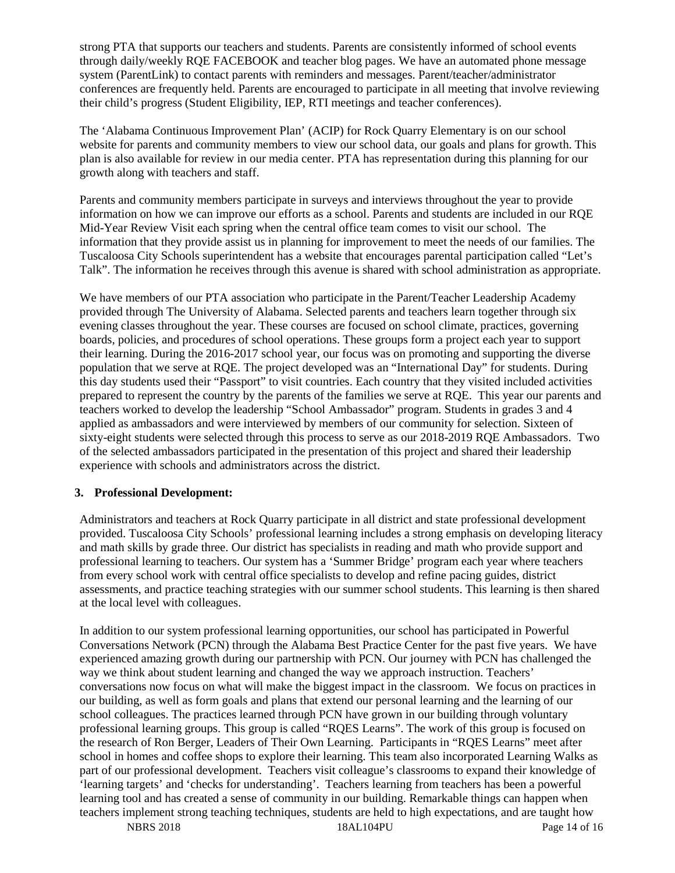strong PTA that supports our teachers and students. Parents are consistently informed of school events through daily/weekly RQE FACEBOOK and teacher blog pages. We have an automated phone message system (ParentLink) to contact parents with reminders and messages. Parent/teacher/administrator conferences are frequently held. Parents are encouraged to participate in all meeting that involve reviewing their child's progress (Student Eligibility, IEP, RTI meetings and teacher conferences).

The 'Alabama Continuous Improvement Plan' (ACIP) for Rock Quarry Elementary is on our school website for parents and community members to view our school data, our goals and plans for growth. This plan is also available for review in our media center. PTA has representation during this planning for our growth along with teachers and staff.

Parents and community members participate in surveys and interviews throughout the year to provide information on how we can improve our efforts as a school. Parents and students are included in our RQE Mid-Year Review Visit each spring when the central office team comes to visit our school. The information that they provide assist us in planning for improvement to meet the needs of our families. The Tuscaloosa City Schools superintendent has a website that encourages parental participation called "Let's Talk". The information he receives through this avenue is shared with school administration as appropriate.

We have members of our PTA association who participate in the Parent/Teacher Leadership Academy provided through The University of Alabama. Selected parents and teachers learn together through six evening classes throughout the year. These courses are focused on school climate, practices, governing boards, policies, and procedures of school operations. These groups form a project each year to support their learning. During the 2016-2017 school year, our focus was on promoting and supporting the diverse population that we serve at RQE. The project developed was an "International Day" for students. During this day students used their "Passport" to visit countries. Each country that they visited included activities prepared to represent the country by the parents of the families we serve at RQE. This year our parents and teachers worked to develop the leadership "School Ambassador" program. Students in grades 3 and 4 applied as ambassadors and were interviewed by members of our community for selection. Sixteen of sixty-eight students were selected through this process to serve as our 2018-2019 RQE Ambassadors. Two of the selected ambassadors participated in the presentation of this project and shared their leadership experience with schools and administrators across the district.

#### **3. Professional Development:**

Administrators and teachers at Rock Quarry participate in all district and state professional development provided. Tuscaloosa City Schools' professional learning includes a strong emphasis on developing literacy and math skills by grade three. Our district has specialists in reading and math who provide support and professional learning to teachers. Our system has a 'Summer Bridge' program each year where teachers from every school work with central office specialists to develop and refine pacing guides, district assessments, and practice teaching strategies with our summer school students. This learning is then shared at the local level with colleagues.

In addition to our system professional learning opportunities, our school has participated in Powerful Conversations Network (PCN) through the Alabama Best Practice Center for the past five years. We have experienced amazing growth during our partnership with PCN. Our journey with PCN has challenged the way we think about student learning and changed the way we approach instruction. Teachers' conversations now focus on what will make the biggest impact in the classroom. We focus on practices in our building, as well as form goals and plans that extend our personal learning and the learning of our school colleagues. The practices learned through PCN have grown in our building through voluntary professional learning groups. This group is called "RQES Learns". The work of this group is focused on the research of Ron Berger, Leaders of Their Own Learning. Participants in "RQES Learns" meet after school in homes and coffee shops to explore their learning. This team also incorporated Learning Walks as part of our professional development. Teachers visit colleague's classrooms to expand their knowledge of 'learning targets' and 'checks for understanding'. Teachers learning from teachers has been a powerful learning tool and has created a sense of community in our building. Remarkable things can happen when teachers implement strong teaching techniques, students are held to high expectations, and are taught how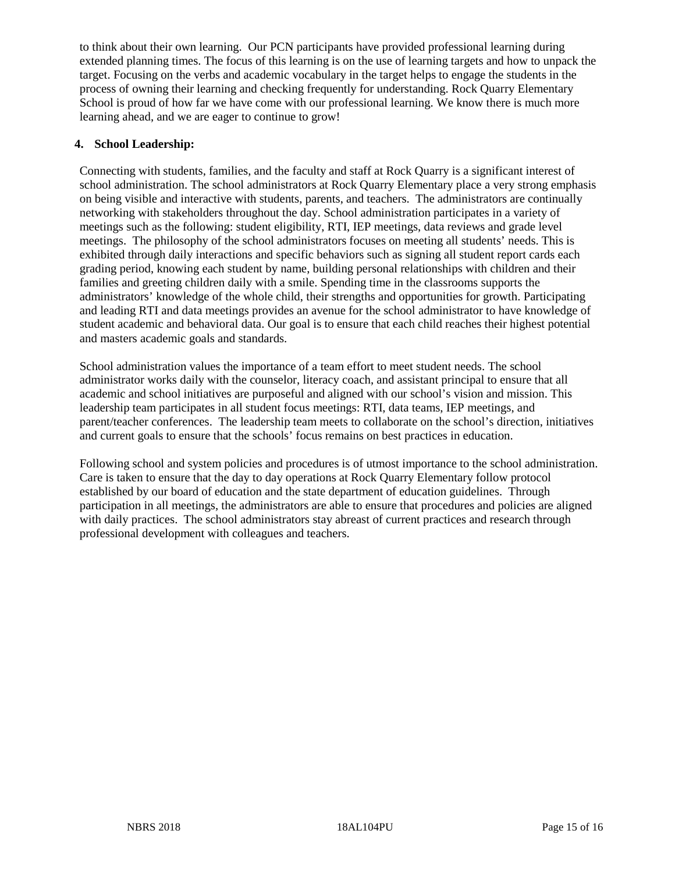to think about their own learning. Our PCN participants have provided professional learning during extended planning times. The focus of this learning is on the use of learning targets and how to unpack the target. Focusing on the verbs and academic vocabulary in the target helps to engage the students in the process of owning their learning and checking frequently for understanding. Rock Quarry Elementary School is proud of how far we have come with our professional learning. We know there is much more learning ahead, and we are eager to continue to grow!

#### **4. School Leadership:**

Connecting with students, families, and the faculty and staff at Rock Quarry is a significant interest of school administration. The school administrators at Rock Quarry Elementary place a very strong emphasis on being visible and interactive with students, parents, and teachers. The administrators are continually networking with stakeholders throughout the day. School administration participates in a variety of meetings such as the following: student eligibility, RTI, IEP meetings, data reviews and grade level meetings. The philosophy of the school administrators focuses on meeting all students' needs. This is exhibited through daily interactions and specific behaviors such as signing all student report cards each grading period, knowing each student by name, building personal relationships with children and their families and greeting children daily with a smile. Spending time in the classrooms supports the administrators' knowledge of the whole child, their strengths and opportunities for growth. Participating and leading RTI and data meetings provides an avenue for the school administrator to have knowledge of student academic and behavioral data. Our goal is to ensure that each child reaches their highest potential and masters academic goals and standards.

School administration values the importance of a team effort to meet student needs. The school administrator works daily with the counselor, literacy coach, and assistant principal to ensure that all academic and school initiatives are purposeful and aligned with our school's vision and mission. This leadership team participates in all student focus meetings: RTI, data teams, IEP meetings, and parent/teacher conferences. The leadership team meets to collaborate on the school's direction, initiatives and current goals to ensure that the schools' focus remains on best practices in education.

Following school and system policies and procedures is of utmost importance to the school administration. Care is taken to ensure that the day to day operations at Rock Quarry Elementary follow protocol established by our board of education and the state department of education guidelines. Through participation in all meetings, the administrators are able to ensure that procedures and policies are aligned with daily practices. The school administrators stay abreast of current practices and research through professional development with colleagues and teachers.